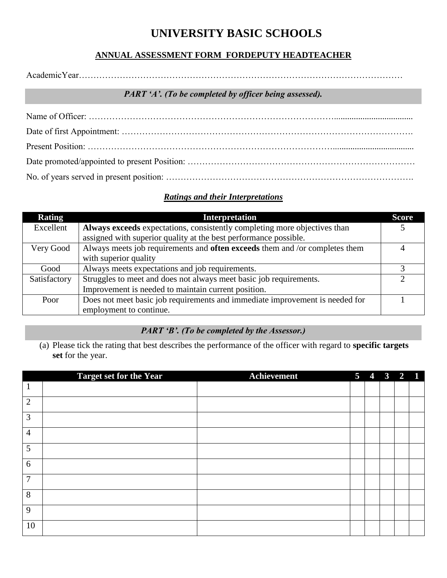# **UNIVERSITY BASIC SCHOOLS**

## **ANNUAL ASSESSMENT FORM FORDEPUTY HEADTEACHER**

AcademicYear…………………………………………………………………………………………………

#### *PART 'A'. (To be completed by officer being assessed).*

## *Ratings and their Interpretations*

| <b>Rating</b> | <b>Interpretation</b>                                                              | <b>Score</b> |
|---------------|------------------------------------------------------------------------------------|--------------|
| Excellent     | Always exceeds expectations, consistently completing more objectives than          |              |
|               | assigned with superior quality at the best performance possible.                   |              |
| Very Good     | Always meets job requirements and <b>often exceeds</b> them and /or completes them |              |
|               | with superior quality                                                              |              |
| Good          | Always meets expectations and job requirements.                                    |              |
| Satisfactory  | Struggles to meet and does not always meet basic job requirements.                 |              |
|               | Improvement is needed to maintain current position.                                |              |
| Poor          | Does not meet basic job requirements and immediate improvement is needed for       |              |
|               | employment to continue.                                                            |              |

# *PART 'B'. (To be completed by the Assessor.)*

(a) Please tick the rating that best describes the performance of the officer with regard to **specific targets set** for the year.

|                | <b>Target set for the Year</b> | <b>Achievement</b> | 5 <sup>5</sup> | $\overline{4}$ | $\overline{\mathbf{3}}$ | $2 \quad 1$ |  |
|----------------|--------------------------------|--------------------|----------------|----------------|-------------------------|-------------|--|
| $\mathbf{1}$   |                                |                    |                |                |                         |             |  |
| $\overline{2}$ |                                |                    |                |                |                         |             |  |
| 3              |                                |                    |                |                |                         |             |  |
| $\overline{4}$ |                                |                    |                |                |                         |             |  |
| 5              |                                |                    |                |                |                         |             |  |
| 6              |                                |                    |                |                |                         |             |  |
| $\overline{7}$ |                                |                    |                |                |                         |             |  |
| 8              |                                |                    |                |                |                         |             |  |
| 9              |                                |                    |                |                |                         |             |  |
| 10             |                                |                    |                |                |                         |             |  |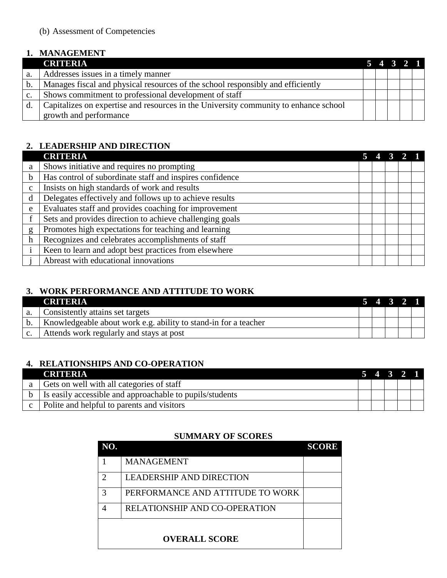#### **1. MANAGEMENT**

|                | <b>CRITERIA</b>                                                                      |  | $5 \t4 \t3 \t2 \t1$ |  |
|----------------|--------------------------------------------------------------------------------------|--|---------------------|--|
| a.             | Addresses issues in a timely manner                                                  |  |                     |  |
| b.             | Manages fiscal and physical resources of the school responsibly and efficiently      |  |                     |  |
| $\mathbf{c}$ . | Shows commitment to professional development of staff                                |  |                     |  |
| d.             | Capitalizes on expertise and resources in the University community to enhance school |  |                     |  |
|                | growth and performance                                                               |  |                     |  |

# **2. LEADERSHIP AND DIRECTION**

|              | <b>CRITERIA</b>                                          |  |  |  |
|--------------|----------------------------------------------------------|--|--|--|
| a            | Shows initiative and requires no prompting               |  |  |  |
| $\mathbf b$  | Has control of subordinate staff and inspires confidence |  |  |  |
| $\mathbf{C}$ | Insists on high standards of work and results            |  |  |  |
| d            | Delegates effectively and follows up to achieve results  |  |  |  |
| e            | Evaluates staff and provides coaching for improvement    |  |  |  |
|              | Sets and provides direction to achieve challenging goals |  |  |  |
| g            | Promotes high expectations for teaching and learning     |  |  |  |
| $\mathbf h$  | Recognizes and celebrates accomplishments of staff       |  |  |  |
|              | Keen to learn and adopt best practices from elsewhere    |  |  |  |
|              | Abreast with educational innovations                     |  |  |  |

## **3. WORK PERFORMANCE AND ATTITUDE TO WORK**

|                | <b>CRITERIA</b>                                                 |  | 5 4 3 2 1 |  |
|----------------|-----------------------------------------------------------------|--|-----------|--|
| a.             | Consistently attains set targets                                |  |           |  |
| b.             | Knowledgeable about work e.g. ability to stand-in for a teacher |  |           |  |
| $\mathbf{c}$ . | Attends work regularly and stays at post                        |  |           |  |

# **4. RELATIONSHIPS AND CO-OPERATION**

| <b>CRITERIA</b>                                              |  | $5\quad 4\quad 3\quad 2\quad 1$ |  |
|--------------------------------------------------------------|--|---------------------------------|--|
| Gets on well with all categories of staff                    |  |                                 |  |
| b   Is easily accessible and approachable to pupils/students |  |                                 |  |
| $\epsilon$   Polite and helpful to parents and visitors      |  |                                 |  |

# **SUMMARY OF SCORES**

| NO.                         |                                      | <b>SCORE</b> |
|-----------------------------|--------------------------------------|--------------|
|                             | <b>MANAGEMENT</b>                    |              |
| $\mathcal{D}_{\mathcal{A}}$ | <b>LEADERSHIP AND DIRECTION</b>      |              |
| 3                           | PERFORMANCE AND ATTITUDE TO WORK     |              |
| 4                           | <b>RELATIONSHIP AND CO-OPERATION</b> |              |
|                             |                                      |              |
|                             | <b>OVERALL SCORE</b>                 |              |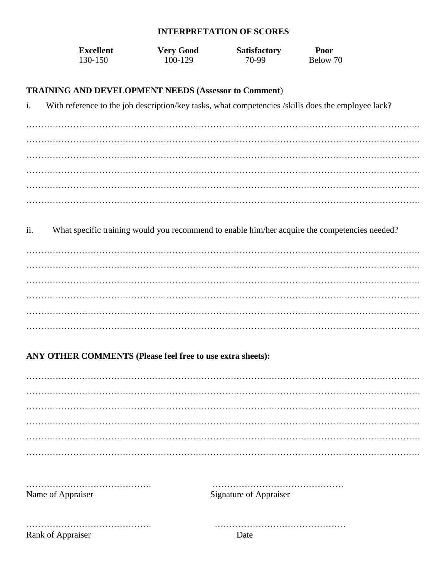#### **INTERPRETATION OF SCORES**

| Excellent | <b>Very Good</b> | <b>Satisfactory</b> | Poor     |
|-----------|------------------|---------------------|----------|
| 130-150   | 100-129          | 70-99               | Below 70 |

#### **TRAINING AND DEVELOPMENT NEEDS (Assessor to Comment**)

i. With reference to the job description/key tasks, what competencies /skills does the employee lack?

……………………………………………………………………………………………………………………… ……………………………………………………………………………………………………………………… ……………………………………………………………………………………………………………………… ……………………………………………………………………………………………………………………… ……………………………………………………………………………………………………………………… ………………………………………………………………………………………………………………………

ii. What specific training would you recommend to enable him/her acquire the competencies needed?

……………………………………………………………………………………………………………………… ……………………………………………………………………………………………………………………… ……………………………………………………………………………………………………………………… ……………………………………………………………………………………………………………………… ……………………………………………………………………………………………………………………… ………………………………………………………………………………………………………………………

#### **ANY OTHER COMMENTS (Please feel free to use extra sheets):**

| Name of Appraiser | <b>Signature of Appraiser</b> |
|-------------------|-------------------------------|
|                   | Date                          |